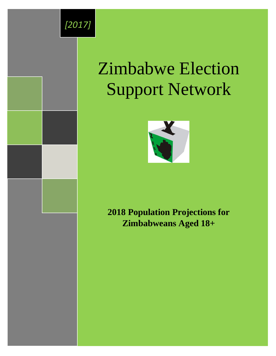

# Zimbabwe Election Support Network



# **2018 Population Projections for Zimbabweans Aged 18+**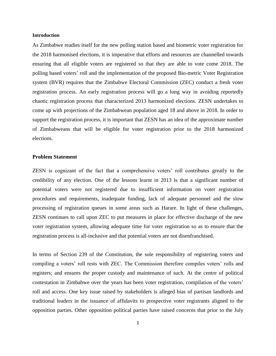#### **Introduction**

As Zimbabwe readies itself for the new polling station based and biometric voter registration for the 2018 harmonised elections, it is imperative that efforts and resources are channelled towards ensuring that all eligible voters are registered so that they are able to vote come 2018. The polling based voters' roll and the implementation of the proposed Bio-metric Voter Registration system (BVR) requires that the Zimbabwe Electoral Commission (ZEC) conduct a fresh voter registration process. An early registration process will go a long way in avoiding reportedly chaotic registration process that characterized 2013 harmonized elections. ZESN undertakes to come up with projections of the Zimbabwean population aged 18 and above in 2018. In order to support the registration process, it is important that ZESN has an idea of the approximate number of Zimbabweans that will be eligible for voter registration prior to the 2018 harmonized elections.

#### **Problem Statement**

ZESN is cognizant of the fact that a comprehensive voters' roll contributes greatly to the credibility of any election. One of the lessons learnt in 2013 is that a significant number of potential voters were not registered due to insufficient information on voter registration procedures and requirements, inadequate funding, lack of adequate personnel and the slow processing of registration queues in some areas such as Harare. In light of these challenges, ZESN continues to call upon ZEC to put measures in place for effective discharge of the new voter registration system, allowing adequate time for voter registration so as to ensure that the registration process is all-inclusive and that potential voters are not disenfranchised.

In terms of Section 239 of the Constitution, the sole responsibility of registering voters and compiling a voters' roll rests with ZEC. The Commission therefore compiles voters' rolls and registers; and ensures the proper custody and maintenance of such. At the centre of political contestation in Zimbabwe over the years has been voter registration, compilation of the voters' roll and access. One key issue raised by stakeholders is alleged bias of partisan landlords and traditional leaders in the issuance of affidavits to prospective voter registrants aligned to the opposition parties. Other opposition political parties have raised concerns that prior to the July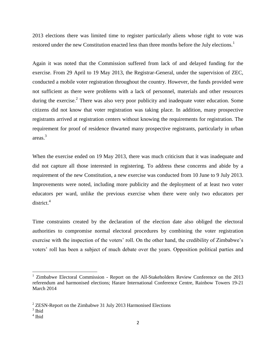2013 elections there was limited time to register particularly aliens whose right to vote was restored under the new Constitution enacted less than three months before the July elections.<sup>1</sup>

Again it was noted that the Commission suffered from lack of and delayed funding for the exercise. From 29 April to 19 May 2013, the Registrar-General, under the supervision of ZEC, conducted a mobile voter registration throughout the country. However, the funds provided were not sufficient as there were problems with a lack of personnel, materials and other resources during the exercise.<sup>2</sup> There was also very poor publicity and inadequate voter education. Some citizens did not know that voter registration was taking place. In addition, many prospective registrants arrived at registration centers without knowing the requirements for registration. The requirement for proof of residence thwarted many prospective registrants, particularly in urban areas. 3

When the exercise ended on 19 May 2013, there was much criticism that it was inadequate and did not capture all those interested in registering. To address these concerns and abide by a requirement of the new Constitution, a new exercise was conducted from 10 June to 9 July 2013. Improvements were noted, including more publicity and the deployment of at least two voter educators per ward, unlike the previous exercise when there were only two educators per  $district.<sup>4</sup>$ 

Time constraints created by the declaration of the election date also obliged the electoral authorities to compromise normal electoral procedures by combining the voter registration exercise with the inspection of the voters' roll. On the other hand, the credibility of Zimbabwe's voters' roll has been a subject of much debate over the years. Opposition political parties and

 $\overline{\phantom{a}}$ 

<sup>&</sup>lt;sup>1</sup> Zimbabwe Electoral Commission - Report on the All-Stakeholders Review Conference on the 2013 referendum and harmonised elections; Harare International Conference Centre, Rainbow Towers 19-21 March 2014

 $2$  ZESN-Report on the Zimbabwe 31 July 2013 Harmonised Elections

<sup>3</sup> Ibid

<sup>4</sup> Ibid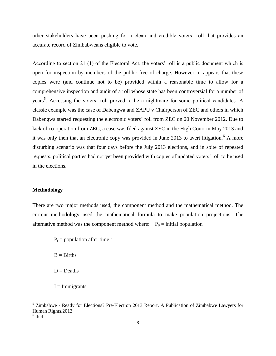other stakeholders have been pushing for a clean and credible voters' roll that provides an accurate record of Zimbabweans eligible to vote.

According to section 21 (1) of the Electoral Act, the voters' roll is a public document which is open for inspection by members of the public free of charge. However, it appears that these copies were (and continue not to be) provided within a reasonable time to allow for a comprehensive inspection and audit of a roll whose state has been controversial for a number of years<sup>5</sup>. Accessing the voters' roll proved to be a nightmare for some political candidates. A classic example was the case of Dabengwa and ZAPU v Chairperson of ZEC and others in which Dabengwa started requesting the electronic voters' roll from ZEC on 20 November 2012. Due to lack of co-operation from ZEC, a case was filed against ZEC in the High Court in May 2013 and it was only then that an electronic copy was provided in June 2013 to avert litigation.<sup>6</sup> A more disturbing scenario was that four days before the July 2013 elections, and in spite of repeated requests, political parties had not yet been provided with copies of updated voters' roll to be used in the elections.

### **Methodology**

There are two major methods used, the component method and the mathematical method. The current methodology used the mathematical formula to make population projections. The alternative method was the component method where:  $P_0 =$  initial population

 $P_t$  = population after time t

 $B = Births$ 

- $D =$ Deaths
- $I =$ Immigrants

 $\overline{a}$ 

<sup>&</sup>lt;sup>5</sup> Zimbabwe - Ready for Elections? Pre-Election 2013 Report. A Publication of Zimbabwe Lawyers for Human Rights,2013

<sup>6</sup> Ibid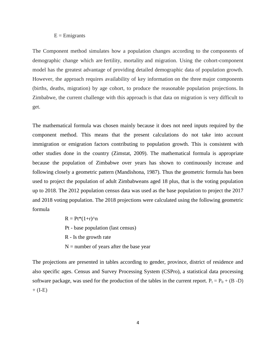#### $E =$ Emigrants

The Component method simulates how a population changes according to the components of demographic change which are fertility, mortality and migration. Using the cohort-component model has the greatest advantage of providing detailed demographic data of population growth. However, the approach requires availability of key information on the three major components (births, deaths, migration) by age cohort, to produce the reasonable population projections. In Zimbabwe, the current challenge with this approach is that data on migration is very difficult to get.

The mathematical formula was chosen mainly because it does not need inputs required by the component method. This means that the present calculations do not take into account immigration or emigration factors contributing to population growth. This is consistent with other studies done in the country (Zimstat, 2009). The mathematical formula is appropriate because the population of Zimbabwe over years has shown to continuously increase and following closely a geometric pattern (Mandishona, 1987). Thus the geometric formula has been used to project the population of adult Zimbabweans aged 18 plus, that is the voting population up to 2018. The 2012 population census data was used as the base population to project the 2017 and 2018 voting population. The 2018 projections were calculated using the following geometric formula

> $R = Pt*(1+r)^n$ Pt - base population (last census) R - Is the growth rate  $N =$  number of years after the base year

The projections are presented in tables according to gender, province, district of residence and also specific ages. Census and Survey Processing System (CSPro), a statistical data processing software package, was used for the production of the tables in the current report.  $P_t = P_0 + (B - D)$  $+$  (I-E)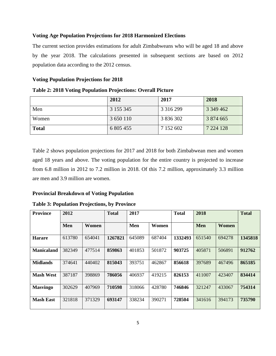#### **Voting Age Population Projections for 2018 Harmonized Elections**

The current section provides estimations for adult Zimbabweans who will be aged 18 and above by the year 2018. The calculations presented in subsequent sections are based on 2012 population data according to the 2012 census.

### **Voting Population Projections for 2018**

|              | 2012      | 2017          | 2018          |
|--------------|-----------|---------------|---------------|
| Men          | 3 155 345 | 3 3 1 6 2 9 9 | 3 349 462     |
| Women        | 3 650 110 | 3 836 302     | 3 874 665     |
| <b>Total</b> | 6 805 455 | 7 152 602     | 7 2 2 4 1 2 8 |

**Table 2: 2018 Voting Population Projections: Overall Picture**

Table 2 shows population projections for 2017 and 2018 for both Zimbabwean men and women aged 18 years and above. The voting population for the entire country is projected to increase from 6.8 million in 2012 to 7.2 million in 2018. Of this 7.2 million, approximately 3.3 million are men and 3.9 million are women.

#### **Provincial Breakdown of Voting Population**

#### **Table 3: Population Projections, by Province**

| <b>Province</b>   | 2012   |        | <b>Total</b> | 2017   |        | <b>Total</b> | 2018       |        | <b>Total</b> |
|-------------------|--------|--------|--------------|--------|--------|--------------|------------|--------|--------------|
|                   | Men    | Women  |              | Men    | Women  |              | <b>Men</b> | Women  |              |
| <b>Harare</b>     | 613780 | 654041 | 1267821      | 645089 | 687404 | 1332493      | 651540     | 694278 | 1345818      |
| <b>Manicaland</b> | 382349 | 477514 | 859863       | 401853 | 501872 | 903725       | 405871     | 506891 | 912762       |
| <b>Midlands</b>   | 374641 | 440402 | 815043       | 393751 | 462867 | 856618       | 397689     | 467496 | 865185       |
| <b>Mash West</b>  | 387187 | 398869 | 786056       | 406937 | 419215 | 826153       | 411007     | 423407 | 834414       |
| <b>Masvingo</b>   | 302629 | 407969 | 710598       | 318066 | 428780 | 746846       | 321247     | 433067 | 754314       |
| <b>Mash East</b>  | 321818 | 371329 | 693147       | 338234 | 390271 | 728504       | 341616     | 394173 | 735790       |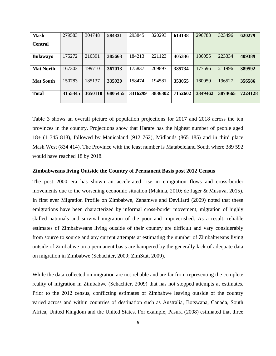| <b>Mash</b>      | 279583  | 304748  | 584331  | 293845  | 320293  | 614138  | 296783  | 323496  | 620279  |
|------------------|---------|---------|---------|---------|---------|---------|---------|---------|---------|
| <b>Central</b>   |         |         |         |         |         |         |         |         |         |
| <b>Bulawayo</b>  | 175272  | 210391  | 385663  | 184213  | 221123  | 405336  | 186055  | 223334  | 409389  |
| <b>Mat North</b> | 167303  | 199710  | 367013  | 175837  | 209897  | 385734  | 177596  | 211996  | 389592  |
| <b>Mat South</b> | 150783  | 185137  | 335920  | 158474  | 194581  | 353055  | 160059  | 196527  | 356586  |
| <b>Total</b>     | 3155345 | 3650110 | 6805455 | 3316299 | 3836302 | 7152602 | 3349462 | 3874665 | 7224128 |

Table 3 shows an overall picture of population projections for 2017 and 2018 across the ten provinces in the country. Projections show that Harare has the highest number of people aged 18+ (1 345 818), followed by Manicaland (912 762), Midlands (865 185) and in third place Mash West (834 414). The Province with the least number is Matabeleland South where 389 592 would have reached 18 by 2018.

#### **Zimbabweans living Outside the Country of Permanent Basis post 2012 Census**

The post 2000 era has shown an accelerated rise in emigration flows and cross-border movements due to the worsening economic situation (Makina, 2010; de Jager & Musuva, 2015). In first ever Migration Profile on Zimbabwe, Zanamwe and Devillard (2009) noted that these emigrations have been characterized by informal cross-border movement, migration of highly skilled nationals and survival migration of the poor and impoverished. As a result, reliable estimates of Zimbabweans living outside of their country are difficult and vary considerably from source to source and any current attempts at estimating the number of Zimbabweans living outside of Zimbabwe on a permanent basis are hampered by the generally lack of adequate data on migration in Zimbabwe (Schachter, 2009; ZimStat, 2009).

While the data collected on migration are not reliable and are far from representing the complete reality of migration in Zimbabwe (Schachter, 2009) that has not stopped attempts at estimates. Prior to the 2012 census, conflicting estimates of Zimbabwe leaving outside of the country varied across and within countries of destination such as Australia, Botswana, Canada, South Africa, United Kingdom and the United States. For example, Pasura (2008) estimated that three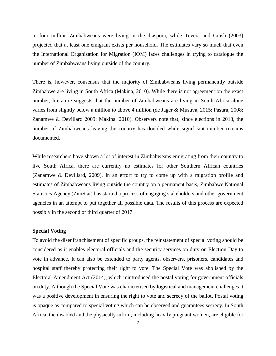to four million Zimbabweans were living in the diaspora, while Tevera and Crush (2003) projected that at least one emigrant exists per household. The estimates vary so much that even the International Organisation for Migration (IOM) faces challenges in trying to catalogue the number of Zimbabweans living outside of the country.

There is, however, consensus that the majority of Zimbabweans living permanently outside Zimbabwe are living in South Africa (Makina, 2010). While there is not agreement on the exact number, literature suggests that the number of Zimbabweans are living in South Africa alone varies from slightly below a million to above 4 million (de Jager & Musuva, 2015; Pasura, 2008; Zanamwe & Devillard 2009; Makina, 2010). Observers note that, since elections in 2013, the number of Zimbabweans leaving the country has doubled while significant number remains documented.

While researchers have shown a lot of interest in Zimbabweans emigrating from their country to live South Africa, there are currently no estimates for other Southern African countries (Zanamwe & Devillard, 2009). In an effort to try to come up with a migration profile and estimates of Zimbabweans living outside the country on a permanent basis, Zimbabwe National Statistics Agency (ZimStat) has started a process of engaging stakeholders and other government agencies in an attempt to put together all possible data. The results of this process are expected possibly in the second or third quarter of 2017.

#### **Special Voting**

To avoid the disenfranchisement of specific groups, the reinstatement of special voting should be considered as it enables electoral officials and the security services on duty on Election Day to vote in advance. It can also be extended to party agents, observers, prisoners, candidates and hospital staff thereby protecting their right to vote. The Special Vote was abolished by the Electoral Amendment Act (2014), which reintroduced the postal voting for government officials on duty. Although the Special Vote was characterised by logistical and management challenges it was a positive development in ensuring the right to vote and secrecy of the ballot. Postal voting is opaque as compared to special voting which can be observed and guarantees secrecy. In South Africa, the disabled and the physically infirm, including heavily pregnant women, are eligible for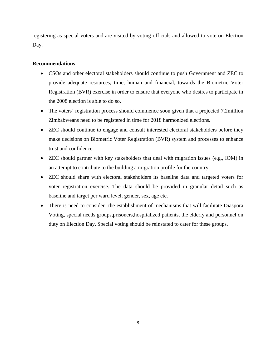registering as special voters and are visited by voting officials and allowed to vote on Election Day.

### **Recommendations**

- CSOs and other electoral stakeholders should continue to push Government and ZEC to provide adequate resources; time, human and financial, towards the Biometric Voter Registration (BVR) exercise in order to ensure that everyone who desires to participate in the 2008 election is able to do so.
- The voters' registration process should commence soon given that a projected 7.2million Zimbabweans need to be registered in time for 2018 harmonized elections.
- ZEC should continue to engage and consult interested electoral stakeholders before they make decisions on Biometric Voter Registration (BVR) system and processes to enhance trust and confidence.
- ZEC should partner with key stakeholders that deal with migration issues (e.g., IOM) in an attempt to contribute to the building a migration profile for the country.
- ZEC should share with electoral stakeholders its baseline data and targeted voters for voter registration exercise. The data should be provided in granular detail such as baseline and target per ward level, gender, sex, age etc.
- There is need to consider the establishment of mechanisms that will facilitate Diaspora Voting, special needs groups,prisoners,hospitalized patients, the elderly and personnel on duty on Election Day. Special voting should be reinstated to cater for these groups.